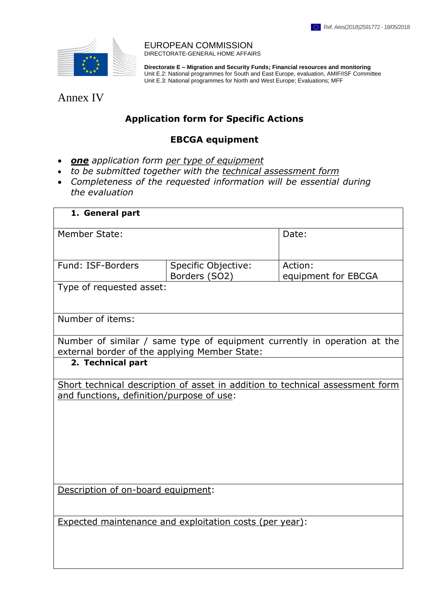П



EUROPEAN COMMISSION DIRECTORATE-GENERAL HOME AFFAIRS

**Directorate E – Migration and Security Funds; Financial resources and monitoring** Unit E.2: National programmes for South and East Europe, evaluation, AMIF/ISF Committee Unit E.3: National programmes for North and West Europe; Evaluations; MFF

Annex IV

## **Application form for Specific Actions**

## **EBCGA equipment**

- *one application form per type of equipment*
- *to be submitted together with the technical assessment form*
- *Completeness of the requested information will be essential during the evaluation*

| 1. General part                                                                                                           |                                      |                                |  |  |  |  |  |
|---------------------------------------------------------------------------------------------------------------------------|--------------------------------------|--------------------------------|--|--|--|--|--|
| <b>Member State:</b>                                                                                                      |                                      | Date:                          |  |  |  |  |  |
| Fund: ISF-Borders                                                                                                         |                                      |                                |  |  |  |  |  |
|                                                                                                                           | Specific Objective:<br>Borders (SO2) | Action:<br>equipment for EBCGA |  |  |  |  |  |
| Type of requested asset:                                                                                                  |                                      |                                |  |  |  |  |  |
|                                                                                                                           |                                      |                                |  |  |  |  |  |
| Number of items:                                                                                                          |                                      |                                |  |  |  |  |  |
| Number of similar / same type of equipment currently in operation at the<br>external border of the applying Member State: |                                      |                                |  |  |  |  |  |
| 2. Technical part                                                                                                         |                                      |                                |  |  |  |  |  |
| Short technical description of asset in addition to technical assessment form                                             |                                      |                                |  |  |  |  |  |
| and functions, definition/purpose of use:                                                                                 |                                      |                                |  |  |  |  |  |
|                                                                                                                           |                                      |                                |  |  |  |  |  |
|                                                                                                                           |                                      |                                |  |  |  |  |  |
|                                                                                                                           |                                      |                                |  |  |  |  |  |
|                                                                                                                           |                                      |                                |  |  |  |  |  |
|                                                                                                                           |                                      |                                |  |  |  |  |  |
| Description of on-board equipment:                                                                                        |                                      |                                |  |  |  |  |  |
|                                                                                                                           |                                      |                                |  |  |  |  |  |
| <b>Expected maintenance and exploitation costs (per year):</b>                                                            |                                      |                                |  |  |  |  |  |
|                                                                                                                           |                                      |                                |  |  |  |  |  |
|                                                                                                                           |                                      |                                |  |  |  |  |  |
|                                                                                                                           |                                      |                                |  |  |  |  |  |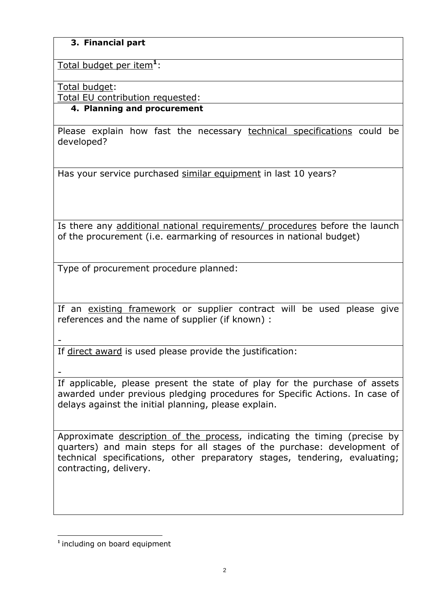## **3. Financial part**

Total budget per item**<sup>1</sup>** :

Total budget:

Total EU contribution requested:

## **4. Planning and procurement**

Please explain how fast the necessary technical specifications could be developed?

Has your service purchased similar equipment in last 10 years?

Is there any additional national requirements/ procedures before the launch of the procurement (i.e. earmarking of resources in national budget)

Type of procurement procedure planned:

If an existing framework or supplier contract will be used please give references and the name of supplier (if known) :

-

If direct award is used please provide the justification:

-

If applicable, please present the state of play for the purchase of assets awarded under previous pledging procedures for Specific Actions. In case of delays against the initial planning, please explain.

Approximate description of the process, indicating the timing (precise by quarters) and main steps for all stages of the purchase: development of technical specifications, other preparatory stages, tendering, evaluating; contracting, delivery.

 $\overline{a}$ **1** including on board equipment